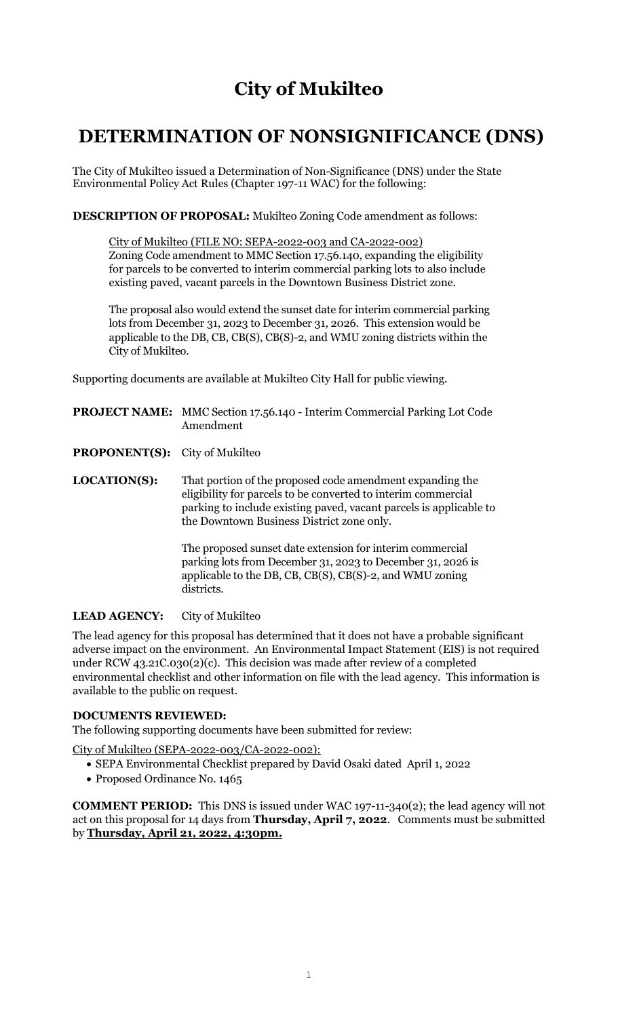## **City of Mukilteo**

## **DETERMINATION OF NONSIGNIFICANCE (DNS)**

The City of Mukilteo issued a Determination of Non-Significance (DNS) under the State Environmental Policy Act Rules (Chapter 197-11 WAC) for the following:

**DESCRIPTION OF PROPOSAL:** Mukilteo Zoning Code amendment as follows:

City of Mukilteo (FILE NO: SEPA-2022-003 and CA-2022-002) Zoning Code amendment to MMC Section 17.56.140, expanding the eligibility for parcels to be converted to interim commercial parking lots to also include existing paved, vacant parcels in the Downtown Business District zone.

The proposal also would extend the sunset date for interim commercial parking lots from December 31, 2023 to December 31, 2026. This extension would be applicable to the DB, CB, CB(S), CB(S)-2, and WMU zoning districts within the City of Mukilteo.

Supporting documents are available at Mukilteo City Hall for public viewing.

- **PROJECT NAME:** MMC Section 17.56.140 Interim Commercial Parking Lot Code Amendment
- **PROPONENT(S):** City of Mukilteo
- **LOCATION(S):** That portion of the proposed code amendment expanding the eligibility for parcels to be converted to interim commercial parking to include existing paved, vacant parcels is applicable to the Downtown Business District zone only.

The proposed sunset date extension for interim commercial parking lots from December 31, 2023 to December 31, 2026 is applicable to the DB, CB, CB(S), CB(S)-2, and WMU zoning districts.

## **LEAD AGENCY:** City of Mukilteo

The lead agency for this proposal has determined that it does not have a probable significant adverse impact on the environment. An Environmental Impact Statement (EIS) is not required under RCW 43.21C.030(2)(c). This decision was made after review of a completed environmental checklist and other information on file with the lead agency. This information is available to the public on request.

## **DOCUMENTS REVIEWED:**

The following supporting documents have been submitted for review:

City of Mukilteo (SEPA-2022-003/CA-2022-002):

- SEPA Environmental Checklist prepared by David Osaki dated April 1, 2022
- Proposed Ordinance No. 1465

**COMMENT PERIOD:** This DNS is issued under WAC 197-11-340(2); the lead agency will not act on this proposal for 14 days from **Thursday, April 7, 2022**. Comments must be submitted by **Thursday, April 21, 2022, 4:30pm.**